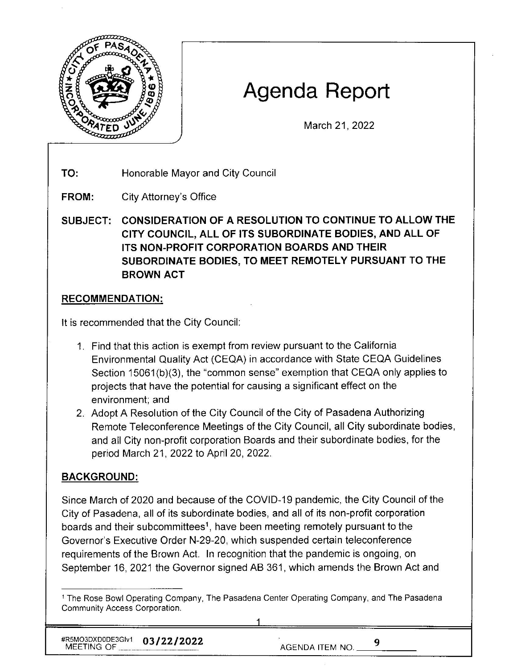

# **Agenda Report**

March 21, 2022

**TO:**  Honorable Mayor and City Council

**FROM:**  City Attorney's Office

**SUBJECT: CONSIDERATION OF A RESOLUTION TO CONTINUE TO ALLOW THE CITY COUNCIL, ALL OF ITS SUBORDINATE BODIES, AND ALL OF ITS NON-PROFIT CORPORATION BOARDS AND THEIR SUBORDINATE BODIES, TO MEET REMOTELY PURSUANT TO THE BROWN ACT** 

## **RECOMMENDATION:**

It is recommended that the City Council:

- 1. Find that this action is exempt from review pursuant to the California Environmental Quality Act (CEQA) in accordance with State CEQA Guidelines Section 15061(b)(3), the "common sense" exemption that CEQA only applies to projects that have the potential for causing a significant effect on the environment; and
- 2. Adopt A Resolution of the City Council of the City of Pasadena Authorizing Remote Teleconference Meetings of the City Council, all City subordinate bodies, and all City non-profit corporation Boards and their subordinate bodies, for the period March 21, 2022 to April 20, 2022.

## **BACKGROUND:**

Since March of 2020 and because of the COVID-19 pandemic, the City Council of the City of Pasadena, all of its subordinate bodies, and all of its non-profit corporation boards and their subcommittees<sup>1</sup>, have been meeting remotely pursuant to the Governor's Executive Order N-29-20, which suspended certain teleconference requirements of the Brown Act. In recognition that the pandemic is ongoing, on September 16, 2021 the Governor signed AB 361 , which amends the Brown Act and

#R5MO3DXD0DE3Glv1 **03/22/2022** MEETING OF \_\_\_ \_\_\_\_ \_ AGENDA ITEM NO. \_\_ 9

 $9$ 

<sup>1</sup> The Rose Bowl Operating Company, The Pasadena Center Operating Company, and The Pasadena Community Access Corporation.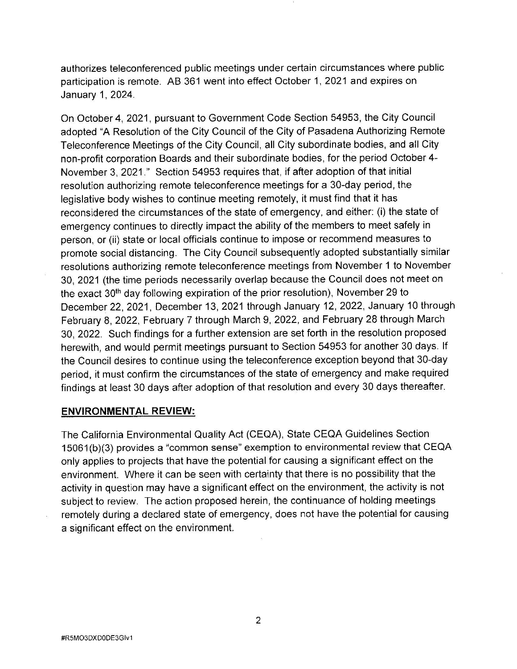authorizes teleconferenced public meetings under certain circumstances where public participation is remote. AB 361 went into effect October 1, 2021 and expires on January 1, 2024.

On October 4, 2021, pursuant to Government Code Section 54953, the City Council adopted "A Resolution of the City Council of the City of Pasadena Authorizing Remote Teleconference Meetings of the City Council, all City subordinate bodies, and all City non-profit corporation Boards and their subordinate bodies, for the period October 4- November 3, 2021." Section 54953 requires that, if after adoption of that initial resolution authorizing remote teleconference meetings for a 30-day period , the legislative body wishes to continue meeting remotely, it must find that it has reconsidered the circumstances of the state of emergency, and either: (i) the state of emergency continues to directly impact the ability of the members to meet safely in person, or (ii) state or local officials continue to impose or recommend measures to promote social distancing. The City Council subsequently adopted substantially similar resolutions authorizing remote teleconference meetings from November 1 to November 30, 2021 (the time periods necessarily overlap because the Council does not meet on the exact 30<sup>th</sup> day following expiration of the prior resolution), November 29 to December 22, 2021, December 13, 2021 through January 12, 2022, January 10 through February 8, 2022, February 7 through March 9, 2022, and February 28 through March 30, 2022. Such findings for a further extension are set forth in the resolution proposed herewith, and would permit meetings pursuant to Section 54953 for another 30 days. If the Council desires to continue using the teleconference exception beyond that 30-day period, it must confirm the circumstances of the state of emergency and make required findings at least 30 days after adoption of that resolution and every 30 days thereafter.

#### **ENVIRONMENTAL REVIEW:**

The California Environmental Quality Act (CEQA), State CEQA Guidelines Section 15061 (b)(3) provides a "common sense" exemption to environmental review that CEQA only applies to projects that have the potential for causing a significant effect on the environment. Where it can be seen with certainty that there is no possibility that the activity in question may have a significant effect on the environment, the activity is not subject to review. The action proposed herein, the continuance of holding meetings remotely during a declared state of emergency, does not have the potential for causing a significant effect on the environment.